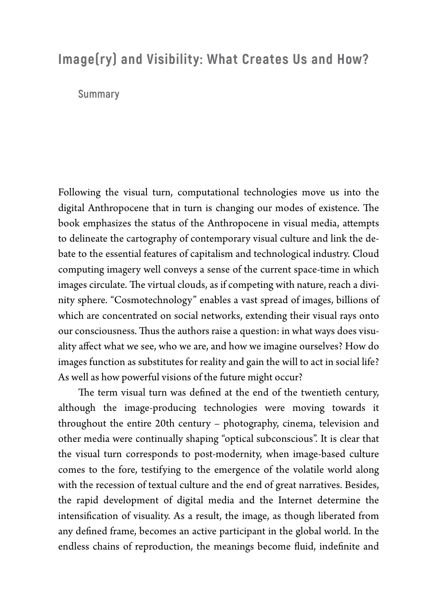## **Image(ry) and Visibility: What Creates Us and How?**

## **Summary**

Following the visual turn, computational technologies move us into the digital Anthropocene that in turn is changing our modes of existence. The book emphasizes the status of the Anthropocene in visual media, attempts to delineate the cartography of contemporary visual culture and link the debate to the essential features of capitalism and technological industry. Cloud computing imagery well conveys a sense of the current space-time in which images circulate. The virtual clouds, as if competing with nature, reach a divinity sphere. "Cosmotechnology" enables a vast spread of images, billions of which are concentrated on social networks, extending their visual rays onto our consciousness. Thus the authors raise a question: in what ways does visuality affect what we see, who we are, and how we imagine ourselves? How do images function as substitutes for reality and gain the will to act in social life? As well as how powerful visions of the future might occur?

The term visual turn was defined at the end of the twentieth century, although the image-producing technologies were moving towards it throughout the entire 20th century – photography, cinema, television and other media were continually shaping "optical subconscious". It is clear that the visual turn corresponds to post-modernity, when image-based culture comes to the fore, testifying to the emergence of the volatile world along with the recession of textual culture and the end of great narratives. Besides, the rapid development of digital media and the Internet determine the intensification of visuality. As a result, the image, as though liberated from any defined frame, becomes an active participant in the global world. In the endless chains of reproduction, the meanings become fluid, indefinite and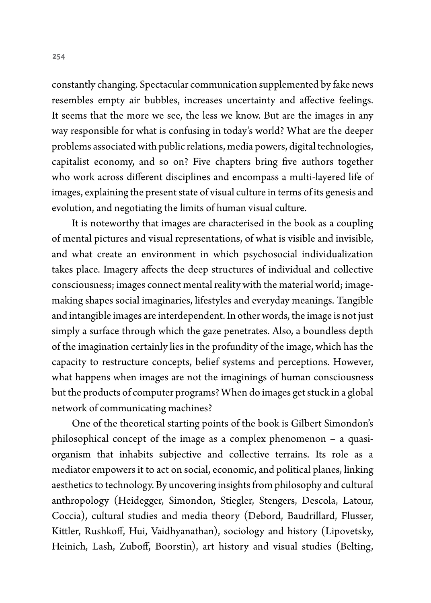constantly changing. Spectacular communication supplemented by fake news resembles empty air bubbles, increases uncertainty and affective feelings. It seems that the more we see, the less we know. But are the images in any way responsible for what is confusing in today's world? What are the deeper problems associated with public relations, media powers, digital technologies, capitalist economy, and so on? Five chapters bring five authors together who work across different disciplines and encompass a multi-layered life of images, explaining the present state of visual culture in terms of its genesis and evolution, and negotiating the limits of human visual culture.

It is noteworthy that images are characterised in the book as a coupling of mental pictures and visual representations, of what is visible and invisible, and what create an environment in which psychosocial individualization takes place. Imagery affects the deep structures of individual and collective consciousness; images connect mental reality with the material world; imagemaking shapes social imaginaries, lifestyles and everyday meanings. Tangible and intangible images are interdependent. In other words, the image is not just simply a surface through which the gaze penetrates. Also, a boundless depth of the imagination certainly lies in the profundity of the image, which has the capacity to restructure concepts, belief systems and perceptions. However, what happens when images are not the imaginings of human consciousness but the products of computer programs? When do images get stuck in a global network of communicating machines?

One of the theoretical starting points of the book is Gilbert Simondon's philosophical concept of the image as a complex phenomenon – a quasiorganism that inhabits subjective and collective terrains. Its role as a mediator empowers it to act on social, economic, and political planes, linking aesthetics to technology. By uncovering insights from philosophy and cultural anthropology (Heidegger, Simondon, Stiegler, Stengers, Descola, Latour, Coccia), cultural studies and media theory (Debord, Baudrillard, Flusser, Kittler, Rushkoff, Hui, Vaidhyanathan), sociology and history (Lipovetsky, Heinich, Lash, Zuboff, Boorstin), art history and visual studies (Belting,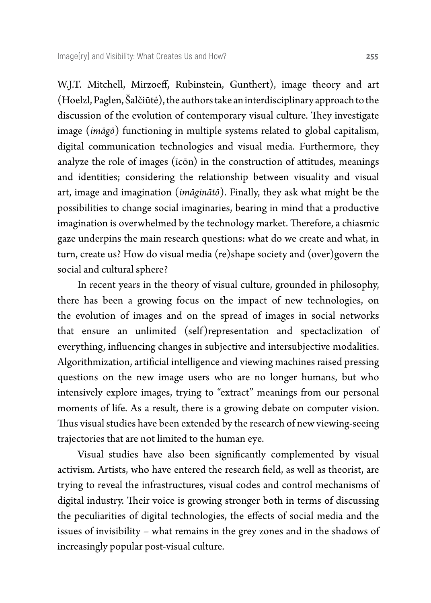W.J.T. Mitchell, Mirzoeff, Rubinstein, Gunthert), image theory and art (Hoelzl, Paglen, Šalčiūtė), the authors take an interdisciplinary approach to the discussion of the evolution of contemporary visual culture. They investigate image (*imāgō*) functioning in multiple systems related to global capitalism, digital communication technologies and visual media. Furthermore, they analyze the role of images (īcōn) in the construction of attitudes, meanings and identities; considering the relationship between visuality and visual art, image and imagination (*imāginātō*). Finally, they ask what might be the possibilities to change social imaginaries, bearing in mind that a productive imagination is overwhelmed by the technology market. Therefore, a chiasmic gaze underpins the main research questions: what do we create and what, in turn, create us? How do visual media (re)shape society and (over)govern the social and cultural sphere?

In recent years in the theory of visual culture, grounded in philosophy, there has been a growing focus on the impact of new technologies, on the evolution of images and on the spread of images in social networks that ensure an unlimited (self)representation and spectaclization of everything, influencing changes in subjective and intersubjective modalities. Algorithmization, artificial intelligence and viewing machines raised pressing questions on the new image users who are no longer humans, but who intensively explore images, trying to "extract" meanings from our personal moments of life. As a result, there is a growing debate on computer vision. Thus visual studies have been extended by the research of new viewing-seeing trajectories that are not limited to the human eye.

Visual studies have also been significantly complemented by visual activism. Artists, who have entered the research field, as well as theorist, are trying to reveal the infrastructures, visual codes and control mechanisms of digital industry. Their voice is growing stronger both in terms of discussing the peculiarities of digital technologies, the effects of social media and the issues of invisibility – what remains in the grey zones and in the shadows of increasingly popular post-visual culture.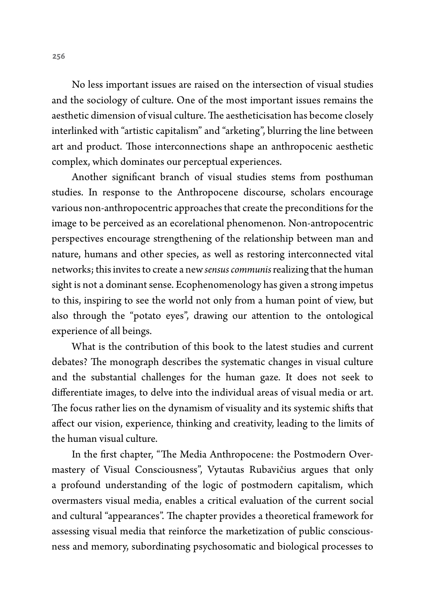No less important issues are raised on the intersection of visual studies and the sociology of culture. One of the most important issues remains the aesthetic dimension of visual culture. The aestheticisation has become closely interlinked with "artistic capitalism" and "arketing", blurring the line between art and product. Those interconnections shape an anthropocenic aesthetic complex, which dominates our perceptual experiences.

Another significant branch of visual studies stems from posthuman studies. In response to the Anthropocene discourse, scholars encourage various non-anthropocentric approaches that create the preconditions for the image to be perceived as an ecorelational phenomenon. Non-antropocentric perspectives encourage strengthening of the relationship between man and nature, humans and other species, as well as restoring interconnected vital networks; this invites to create a new *sensus communis* realizing that the human sight is not a dominant sense. Ecophenomenology has given a strong impetus to this, inspiring to see the world not only from a human point of view, but also through the "potato eyes", drawing our attention to the ontological experience of all beings.

What is the contribution of this book to the latest studies and current debates? The monograph describes the systematic changes in visual culture and the substantial challenges for the human gaze. It does not seek to differentiate images, to delve into the individual areas of visual media or art. The focus rather lies on the dynamism of visuality and its systemic shifts that affect our vision, experience, thinking and creativity, leading to the limits of the human visual culture.

In the first chapter, "The Media Anthropocene: the Postmodern Overmastery of Visual Consciousness", Vytautas Rubavičius argues that only a profound understanding of the logic of postmodern capitalism, which overmasters visual media, enables a critical evaluation of the current social and cultural "appearances". The chapter provides a theoretical framework for assessing visual media that reinforce the marketization of public consciousness and memory, subordinating psychosomatic and biological processes to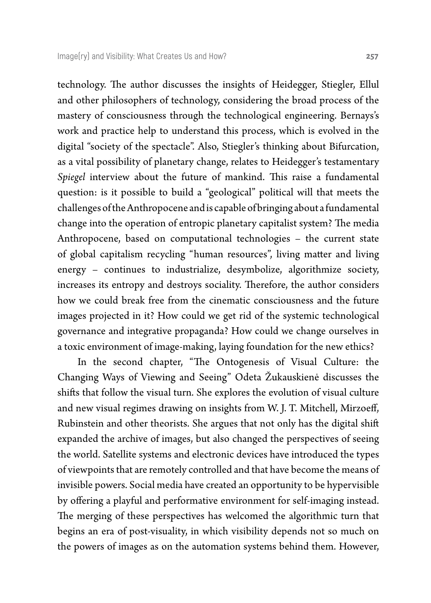technology. The author discusses the insights of Heidegger, Stiegler, Ellul and other philosophers of technology, considering the broad process of the mastery of consciousness through the technological engineering. Bernays's work and practice help to understand this process, which is evolved in the digital "society of the spectacle". Also, Stiegler's thinking about Bifurcation, as a vital possibility of planetary change, relates to Heidegger's testamentary *Spiegel* interview about the future of mankind. This raise a fundamental question: is it possible to build a "geological" political will that meets the challenges of the Anthropocene and is capable of bringing about a fundamental change into the operation of entropic planetary capitalist system? The media Anthropocene, based on computational technologies – the current state of global capitalism recycling "human resources", living matter and living energy – continues to industrialize, desymbolize, algorithmize society, increases its entropy and destroys sociality. Therefore, the author considers how we could break free from the cinematic consciousness and the future images projected in it? How could we get rid of the systemic technological governance and integrative propaganda? How could we change ourselves in a toxic environment of image-making, laying foundation for the new ethics?

In the second chapter, "The Ontogenesis of Visual Culture: the Changing Ways of Viewing and Seeing" Odeta Žukauskienė discusses the shifts that follow the visual turn. She explores the evolution of visual culture and new visual regimes drawing on insights from W. J. T. Mitchell, Mirzoeff, Rubinstein and other theorists. She argues that not only has the digital shift expanded the archive of images, but also changed the perspectives of seeing the world. Satellite systems and electronic devices have introduced the types of viewpoints that are remotely controlled and that have become the means of invisible powers. Social media have created an opportunity to be hypervisible by offering a playful and performative environment for self-imaging instead. The merging of these perspectives has welcomed the algorithmic turn that begins an era of post-visuality, in which visibility depends not so much on the powers of images as on the automation systems behind them. However,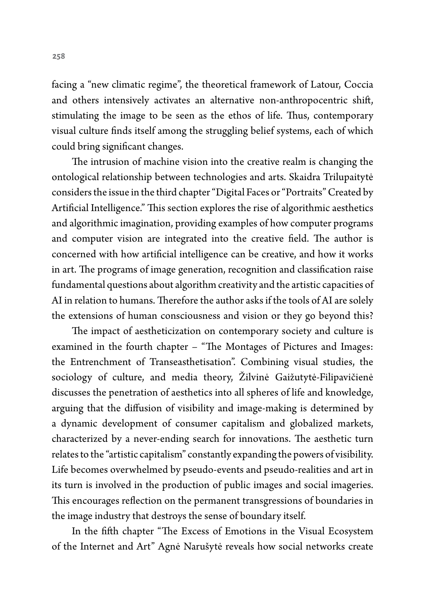facing a "new climatic regime", the theoretical framework of Latour, Coccia and others intensively activates an alternative non-anthropocentric shift, stimulating the image to be seen as the ethos of life. Thus, contemporary visual culture finds itself among the struggling belief systems, each of which could bring significant changes.

The intrusion of machine vision into the creative realm is changing the ontological relationship between technologies and arts. Skaidra Trilupaitytė considers the issue in the third chapter "Digital Faces or "Portraits" Created by Artificial Intelligence." This section explores the rise of algorithmic aesthetics and algorithmic imagination, providing examples of how computer programs and computer vision are integrated into the creative field. The author is concerned with how artificial intelligence can be creative, and how it works in art. The programs of image generation, recognition and classification raise fundamental questions about algorithm creativity and the artistic capacities of AI in relation to humans. Therefore the author asks if the tools of AI are solely the extensions of human consciousness and vision or they go beyond this?

The impact of aestheticization on contemporary society and culture is examined in the fourth chapter – "The Montages of Pictures and Images: the Entrenchment of Transeasthetisation". Combining visual studies, the sociology of culture, and media theory, Žilvinė Gaižutytė-Filipavičienė discusses the penetration of aesthetics into all spheres of life and knowledge, arguing that the diffusion of visibility and image-making is determined by a dynamic development of consumer capitalism and globalized markets, characterized by a never-ending search for innovations. The aesthetic turn relates to the "artistic capitalism" constantly expanding the powers of visibility. Life becomes overwhelmed by pseudo-events and pseudo-realities and art in its turn is involved in the production of public images and social imageries. This encourages reflection on the permanent transgressions of boundaries in the image industry that destroys the sense of boundary itself.

In the fifth chapter "The Excess of Emotions in the Visual Ecosystem of the Internet and Art" Agnė Narušytė reveals how social networks create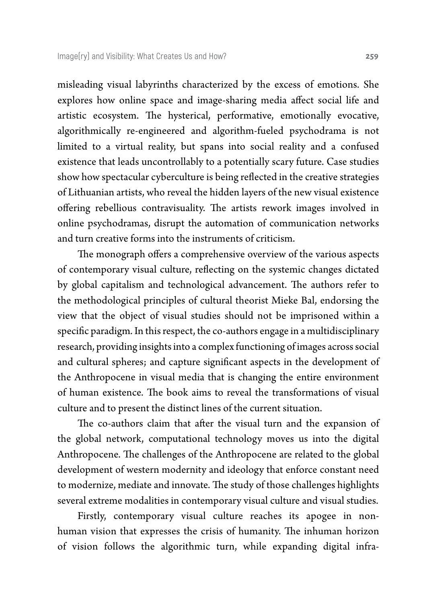misleading visual labyrinths characterized by the excess of emotions. She explores how online space and image-sharing media affect social life and artistic ecosystem. The hysterical, performative, emotionally evocative, algorithmically re-engineered and algorithm-fueled psychodrama is not limited to a virtual reality, but spans into social reality and a confused existence that leads uncontrollably to a potentially scary future. Case studies show how spectacular cyberculture is being reflected in the creative strategies of Lithuanian artists, who reveal the hidden layers of the new visual existence offering rebellious contravisuality. The artists rework images involved in online psychodramas, disrupt the automation of communication networks and turn creative forms into the instruments of criticism.

The monograph offers a comprehensive overview of the various aspects of contemporary visual culture, reflecting on the systemic changes dictated by global capitalism and technological advancement. The authors refer to the methodological principles of cultural theorist Mieke Bal, endorsing the view that the object of visual studies should not be imprisoned within a specific paradigm. In this respect, the co-authors engage in a multidisciplinary research, providing insights into a complex functioning of images across social and cultural spheres; and capture significant aspects in the development of the Anthropocene in visual media that is changing the entire environment of human existence. The book aims to reveal the transformations of visual culture and to present the distinct lines of the current situation.

The co-authors claim that after the visual turn and the expansion of the global network, computational technology moves us into the digital Anthropocene. The challenges of the Anthropocene are related to the global development of western modernity and ideology that enforce constant need to modernize, mediate and innovate. The study of those challenges highlights several extreme modalities in contemporary visual culture and visual studies.

Firstly, contemporary visual culture reaches its apogee in nonhuman vision that expresses the crisis of humanity. The inhuman horizon of vision follows the algorithmic turn, while expanding digital infra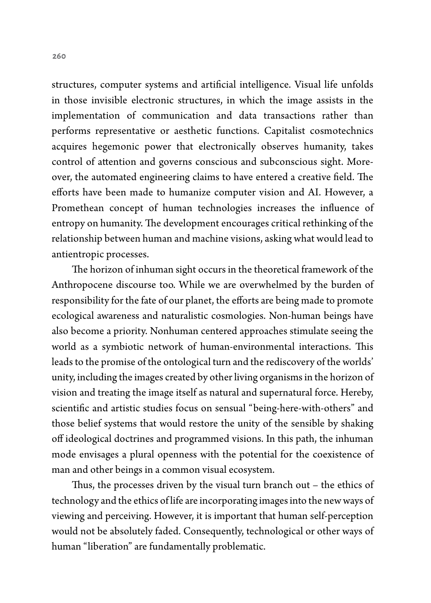structures, computer systems and artificial intelligence. Visual life unfolds in those invisible electronic structures, in which the image assists in the implementation of communication and data transactions rather than performs representative or aesthetic functions. Capitalist cosmotechnics acquires hegemonic power that electronically observes humanity, takes control of attention and governs conscious and subconscious sight. Moreover, the automated engineering claims to have entered a creative field. The efforts have been made to humanize computer vision and AI. However, a Promethean concept of human technologies increases the influence of entropy on humanity. The development encourages critical rethinking of the relationship between human and machine visions, asking what would lead to antientropic processes.

The horizon of inhuman sight occurs in the theoretical framework of the Anthropocene discourse too. While we are overwhelmed by the burden of responsibility for the fate of our planet, the efforts are being made to promote ecological awareness and naturalistic cosmologies. Non-human beings have also become a priority. Nonhuman centered approaches stimulate seeing the world as a symbiotic network of human-environmental interactions. This leads to the promise of the ontological turn and the rediscovery of the worlds' unity, including the images created by other living organisms in the horizon of vision and treating the image itself as natural and supernatural force. Hereby, scientific and artistic studies focus on sensual "being-here-with-others" and those belief systems that would restore the unity of the sensible by shaking off ideological doctrines and programmed visions. In this path, the inhuman mode envisages a plural openness with the potential for the coexistence of man and other beings in a common visual ecosystem.

Thus, the processes driven by the visual turn branch out – the ethics of technology and the ethics of life are incorporating images into the new ways of viewing and perceiving. However, it is important that human self-perception would not be absolutely faded. Consequently, technological or other ways of human "liberation" are fundamentally problematic.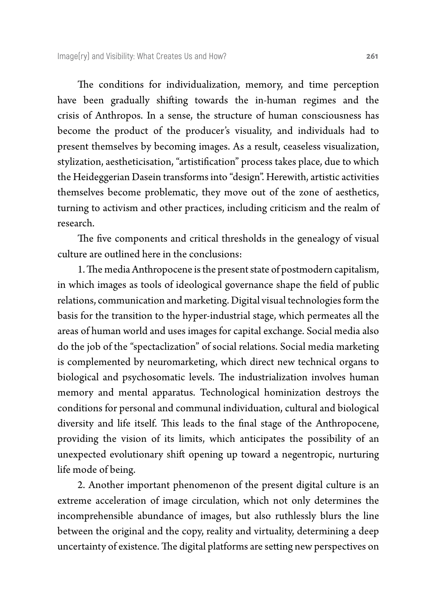The conditions for individualization, memory, and time perception have been gradually shifting towards the in-human regimes and the crisis of Anthropos. In a sense, the structure of human consciousness has become the product of the producer's visuality, and individuals had to present themselves by becoming images. As a result, ceaseless visualization, stylization, aestheticisation, "artistification" process takes place, due to which the Heideggerian Dasein transforms into "design". Herewith, artistic activities themselves become problematic, they move out of the zone of aesthetics, turning to activism and other practices, including criticism and the realm of research.

The five components and critical thresholds in the genealogy of visual culture are outlined here in the conclusions:

1. The media Anthropocene is the present state of postmodern capitalism, in which images as tools of ideological governance shape the field of public relations, communication and marketing. Digital visual technologies form the basis for the transition to the hyper-industrial stage, which permeates all the areas of human world and uses images for capital exchange. Social media also do the job of the "spectaclization" of social relations. Social media marketing is complemented by neuromarketing, which direct new technical organs to biological and psychosomatic levels. The industrialization involves human memory and mental apparatus. Technological hominization destroys the conditions for personal and communal individuation, cultural and biological diversity and life itself. This leads to the final stage of the Anthropocene, providing the vision of its limits, which anticipates the possibility of an unexpected evolutionary shift opening up toward a negentropic, nurturing life mode of being.

2. Another important phenomenon of the present digital culture is an extreme acceleration of image circulation, which not only determines the incomprehensible abundance of images, but also ruthlessly blurs the line between the original and the copy, reality and virtuality, determining a deep uncertainty of existence. The digital platforms are setting new perspectives on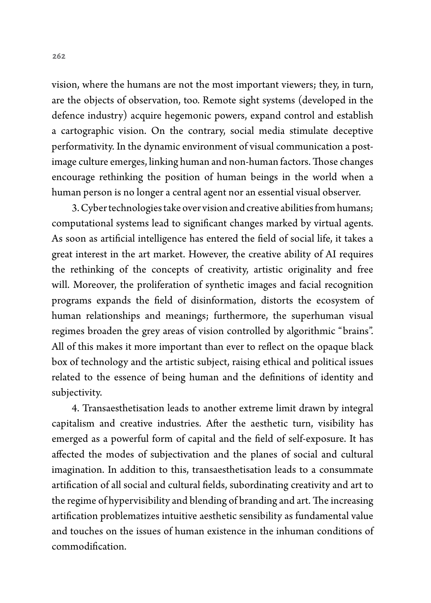vision, where the humans are not the most important viewers; they, in turn, are the objects of observation, too. Remote sight systems (developed in the defence industry) acquire hegemonic powers, expand control and establish a cartographic vision. On the contrary, social media stimulate deceptive performativity. In the dynamic environment of visual communication a postimage culture emerges, linking human and non-human factors. Those changes encourage rethinking the position of human beings in the world when a human person is no longer a central agent nor an essential visual observer.

3. Cyber technologies take over vision and creative abilities from humans; computational systems lead to significant changes marked by virtual agents. As soon as artificial intelligence has entered the field of social life, it takes a great interest in the art market. However, the creative ability of AI requires the rethinking of the concepts of creativity, artistic originality and free will. Moreover, the proliferation of synthetic images and facial recognition programs expands the field of disinformation, distorts the ecosystem of human relationships and meanings; furthermore, the superhuman visual regimes broaden the grey areas of vision controlled by algorithmic "brains". All of this makes it more important than ever to reflect on the opaque black box of technology and the artistic subject, raising ethical and political issues related to the essence of being human and the definitions of identity and subjectivity.

4. Transaesthetisation leads to another extreme limit drawn by integral capitalism and creative industries. After the aesthetic turn, visibility has emerged as a powerful form of capital and the field of self-exposure. It has affected the modes of subjectivation and the planes of social and cultural imagination. In addition to this, transaesthetisation leads to a consummate artification of all social and cultural fields, subordinating creativity and art to the regime of hypervisibility and blending of branding and art. The increasing artification problematizes intuitive aesthetic sensibility as fundamental value and touches on the issues of human existence in the inhuman conditions of commodification.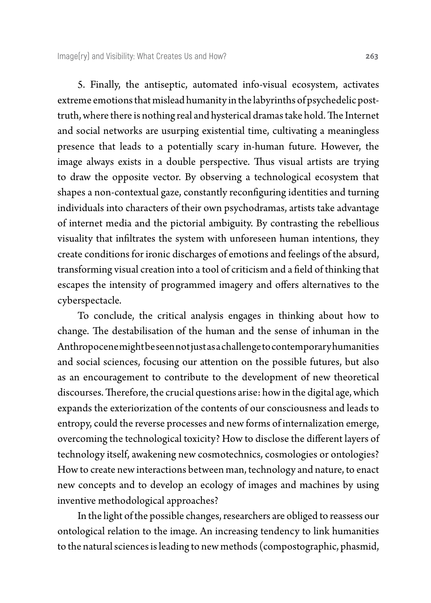5. Finally, the antiseptic, automated info-visual ecosystem, activates extreme emotions that mislead humanity in the labyrinths of psychedelic posttruth, where there is nothing real and hysterical dramas take hold. The Internet and social networks are usurping existential time, cultivating a meaningless presence that leads to a potentially scary in-human future. However, the image always exists in a double perspective. Thus visual artists are trying to draw the opposite vector. By observing a technological ecosystem that shapes a non-contextual gaze, constantly reconfiguring identities and turning individuals into characters of their own psychodramas, artists take advantage of internet media and the pictorial ambiguity. By contrasting the rebellious visuality that infiltrates the system with unforeseen human intentions, they create conditions for ironic discharges of emotions and feelings of the absurd, transforming visual creation into a tool of criticism and a field of thinking that escapes the intensity of programmed imagery and offers alternatives to the cyberspectacle.

To conclude, the critical analysis engages in thinking about how to change. The destabilisation of the human and the sense of inhuman in the Anthropocene might be seen not just as a challenge to contemporary humanities and social sciences, focusing our attention on the possible futures, but also as an encouragement to contribute to the development of new theoretical discourses. Therefore, the crucial questions arise: how in the digital age, which expands the exteriorization of the contents of our consciousness and leads to entropy, could the reverse processes and new forms of internalization emerge, overcoming the technological toxicity? How to disclose the different layers of technology itself, awakening new cosmotechnics, cosmologies or ontologies? How to create new interactions between man, technology and nature, to enact new concepts and to develop an ecology of images and machines by using inventive methodological approaches?

In the light of the possible changes, researchers are obliged to reassess our ontological relation to the image. An increasing tendency to link humanities to the natural sciences is leading to new methods (compostographic, phasmid,